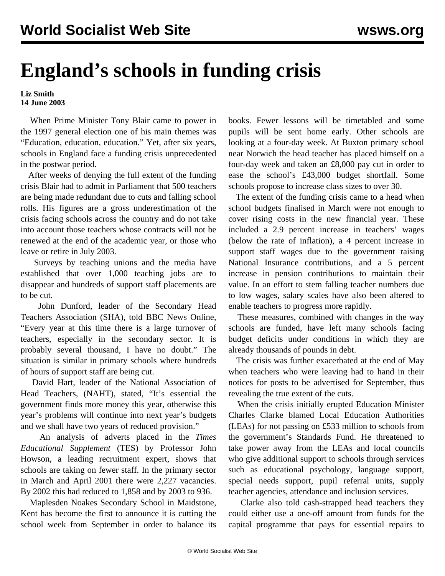## **England's schools in funding crisis**

## **Liz Smith 14 June 2003**

 When Prime Minister Tony Blair came to power in the 1997 general election one of his main themes was "Education, education, education." Yet, after six years, schools in England face a funding crisis unprecedented in the postwar period.

 After weeks of denying the full extent of the funding crisis Blair had to admit in Parliament that 500 teachers are being made redundant due to cuts and falling school rolls. His figures are a gross underestimation of the crisis facing schools across the country and do not take into account those teachers whose contracts will not be renewed at the end of the academic year, or those who leave or retire in July 2003.

 Surveys by teaching unions and the media have established that over 1,000 teaching jobs are to disappear and hundreds of support staff placements are to be cut.

 John Dunford, leader of the Secondary Head Teachers Association (SHA), told BBC News Online, "Every year at this time there is a large turnover of teachers, especially in the secondary sector. It is probably several thousand, I have no doubt." The situation is similar in primary schools where hundreds of hours of support staff are being cut.

 David Hart, leader of the National Association of Head Teachers, (NAHT), stated, "It's essential the government finds more money this year, otherwise this year's problems will continue into next year's budgets and we shall have two years of reduced provision."

 An analysis of adverts placed in the *Times Educational Supplement* (TES) by Professor John Howson, a leading recruitment expert, shows that schools are taking on fewer staff. In the primary sector in March and April 2001 there were 2,227 vacancies. By 2002 this had reduced to 1,858 and by 2003 to 936.

 Maplesden Noakes Secondary School in Maidstone, Kent has become the first to announce it is cutting the school week from September in order to balance its books. Fewer lessons will be timetabled and some pupils will be sent home early. Other schools are looking at a four-day week. At Buxton primary school near Norwich the head teacher has placed himself on a four-day week and taken an £8,000 pay cut in order to ease the school's £43,000 budget shortfall. Some schools propose to increase class sizes to over 30.

 The extent of the funding crisis came to a head when school budgets finalised in March were not enough to cover rising costs in the new financial year. These included a 2.9 percent increase in teachers' wages (below the rate of inflation), a 4 percent increase in support staff wages due to the government raising National Insurance contributions, and a 5 percent increase in pension contributions to maintain their value. In an effort to stem falling teacher numbers due to low wages, salary scales have also been altered to enable teachers to progress more rapidly.

 These measures, combined with changes in the way schools are funded, have left many schools facing budget deficits under conditions in which they are already thousands of pounds in debt.

 The crisis was further exacerbated at the end of May when teachers who were leaving had to hand in their notices for posts to be advertised for September, thus revealing the true extent of the cuts.

 When the crisis initially erupted Education Minister Charles Clarke blamed Local Education Authorities (LEAs) for not passing on £533 million to schools from the government's Standards Fund. He threatened to take power away from the LEAs and local councils who give additional support to schools through services such as educational psychology, language support, special needs support, pupil referral units, supply teacher agencies, attendance and inclusion services.

 Clarke also told cash-strapped head teachers they could either use a one-off amount from funds for the capital programme that pays for essential repairs to